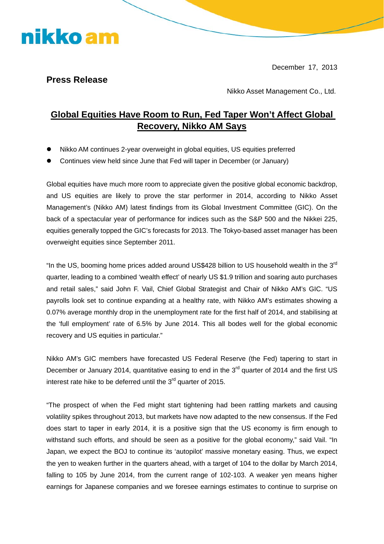December 17, 2013

## **Press Release**

nikko am

Nikko Asset Management Co., Ltd.

## **Global Equities Have Room to Run, Fed Taper Won't Affect Global Recovery, Nikko AM Says**

- Nikko AM continues 2-year overweight in global equities, US equities preferred
- Continues view held since June that Fed will taper in December (or January)

Global equities have much more room to appreciate given the positive global economic backdrop, and US equities are likely to prove the star performer in 2014, according to Nikko Asset Management's (Nikko AM) latest findings from its Global Investment Committee (GIC). On the back of a spectacular year of performance for indices such as the S&P 500 and the Nikkei 225, equities generally topped the GIC's forecasts for 2013. The Tokyo-based asset manager has been overweight equities since September 2011.

"In the US, booming home prices added around US\$428 billion to US household wealth in the  $3^{rd}$ quarter, leading to a combined 'wealth effect' of nearly US \$1.9 trillion and soaring auto purchases and retail sales," said John F. Vail, Chief Global Strategist and Chair of Nikko AM's GIC. "US payrolls look set to continue expanding at a healthy rate, with Nikko AM's estimates showing a 0.07% average monthly drop in the unemployment rate for the first half of 2014, and stabilising at the 'full employment' rate of 6.5% by June 2014. This all bodes well for the global economic recovery and US equities in particular."

Nikko AM's GIC members have forecasted US Federal Reserve (the Fed) tapering to start in December or January 2014, quantitative easing to end in the  $3<sup>rd</sup>$  quarter of 2014 and the first US interest rate hike to be deferred until the 3<sup>rd</sup> quarter of 2015.

"The prospect of when the Fed might start tightening had been rattling markets and causing volatility spikes throughout 2013, but markets have now adapted to the new consensus. If the Fed does start to taper in early 2014, it is a positive sign that the US economy is firm enough to withstand such efforts, and should be seen as a positive for the global economy," said Vail. "In Japan, we expect the BOJ to continue its 'autopilot' massive monetary easing. Thus, we expect the yen to weaken further in the quarters ahead, with a target of 104 to the dollar by March 2014, falling to 105 by June 2014, from the current range of 102-103. A weaker yen means higher earnings for Japanese companies and we foresee earnings estimates to continue to surprise on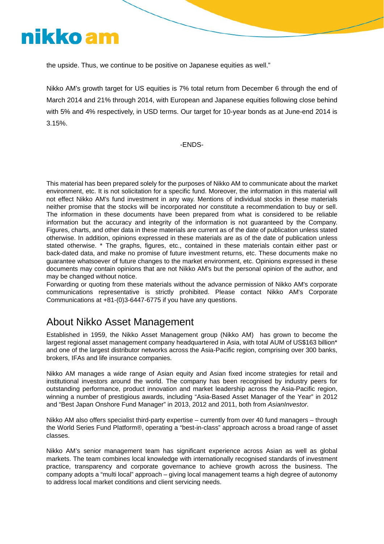

the upside. Thus, we continue to be positive on Japanese equities as well."

Nikko AM's growth target for US equities is 7% total return from December 6 through the end of March 2014 and 21% through 2014, with European and Japanese equities following close behind with 5% and 4% respectively, in USD terms. Our target for 10-year bonds as at June-end 2014 is 3.15%.

-ENDS-

This material has been prepared solely for the purposes of Nikko AM to communicate about the market environment, etc. It is not solicitation for a specific fund. Moreover, the information in this material will not effect Nikko AM's fund investment in any way. Mentions of individual stocks in these materials neither promise that the stocks will be incorporated nor constitute a recommendation to buy or sell. The information in these documents have been prepared from what is considered to be reliable information but the accuracy and integrity of the information is not guaranteed by the Company. Figures, charts, and other data in these materials are current as of the date of publication unless stated otherwise. In addition, opinions expressed in these materials are as of the date of publication unless stated otherwise. \* The graphs, figures, etc., contained in these materials contain either past or back-dated data, and make no promise of future investment returns, etc. These documents make no guarantee whatsoever of future changes to the market environment, etc. Opinions expressed in these documents may contain opinions that are not Nikko AM's but the personal opinion of the author, and may be changed without notice.

Forwarding or quoting from these materials without the advance permission of Nikko AM's corporate communications representative is strictly prohibited. Please contact Nikko AM's Corporate Communications at +81-(0)3-6447-6775 if you have any questions.

## About Nikko Asset Management

Established in 1959, the Nikko Asset Management group (Nikko AM) has grown to become the largest regional asset management company headquartered in Asia, with total AUM of US\$163 billion\* and one of the largest distributor networks across the Asia-Pacific region, comprising over 300 banks, brokers, IFAs and life insurance companies.

Nikko AM manages a wide range of Asian equity and Asian fixed income strategies for retail and institutional investors around the world. The company has been recognised by industry peers for outstanding performance, product innovation and market leadership across the Asia-Pacific region, winning a number of prestigious awards, including "Asia-Based Asset Manager of the Year" in 2012 and "Best Japan Onshore Fund Manager" in 2013, 2012 and 2011, both from *AsianInvestor.*

Nikko AM also offers specialist third-party expertise – currently from over 40 fund managers – through the World Series Fund Platform®, operating a "best-in-class" approach across a broad range of asset classes.

Nikko AM's senior management team has significant experience across Asian as well as global markets. The team combines local knowledge with internationally recognised standards of investment practice, transparency and corporate governance to achieve growth across the business. The company adopts a "multi local" approach – giving local management teams a high degree of autonomy to address local market conditions and client servicing needs.